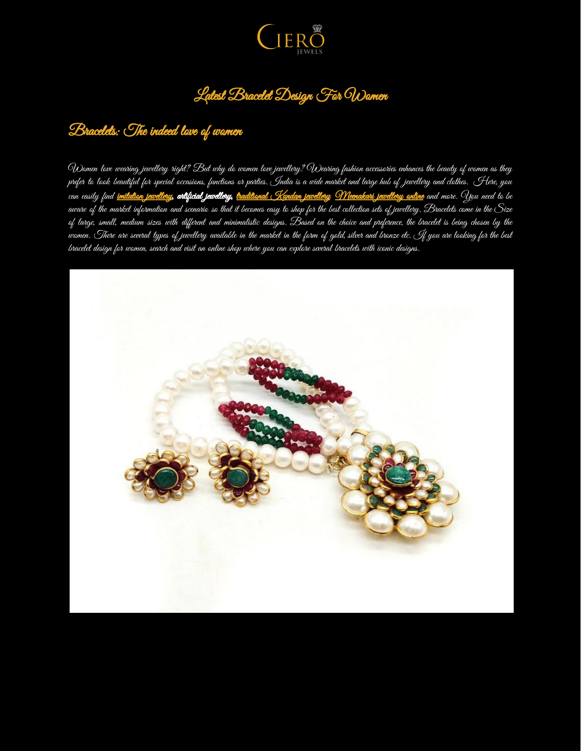

## Latest Bracelet Design For Women

#### Bracelets: The indeed love of women

Women love wearing jewellery right? But why do women love jewellery? Wearing fashion accessories enhances the beauty of women as they prefer to look beautiful for special occasions, functions or parties. India is a wide market and large hub of jewellery and clothes. Here, you .<br>can easily find <u>imitation [jewellery](https://www.cierojewels.com/)</u>, **antificial jewellery**, <del>[traditional](https://www.cierojewels.com/kundan-jewellery/) Kundan jewellery Wheenakari jewellery online</del> and more. You need to be aware of the market information and scenario so that it becomes easy to shop for the best collection sets of jewellery. Bracelets come in the Size of large, small, medium sizes with different and minimalistic designs. Based on the choice and preference, the bracelet is being chosen by the women. There are several types of jewellery available in the market in the form of gold, silver and bronze etc. If you are looking for the best bracelet design for women, search and visit an online shop where you can explore several bracelets with iconic designs.

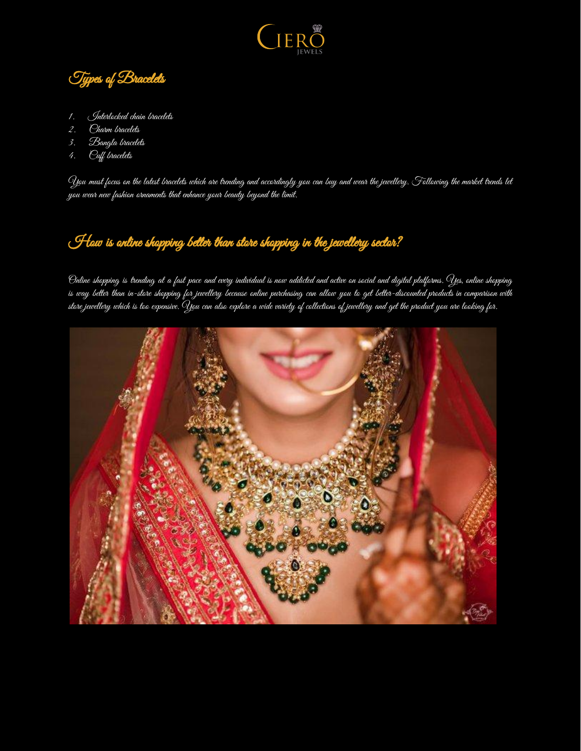

Types of Bracelets

- 1. Interlocked chain bracelets
- 2. Charm bracelets
- 3. Bangla bracelets
- 4. Cuff bracelets

You must focus on the latest bracelets which are trending and accordingly you can buy and wear the jewellery. Following the market trends let you wear new fashion ornaments that enhance your beauty beyond the limit.

# How is online shopping better than store shopping in the jewellery sector?

Online shopping is trending at a fast pace and every individual is now addicted and active on social and digital platforms. Yes, online shopping is way better than in-store shopping for jewellery because online purchasing can allow you to get better-discounted products in comparison with store jewellery which is too expensive. You can also explore a wide variety of collections of jewellery and get the product you are looking for.